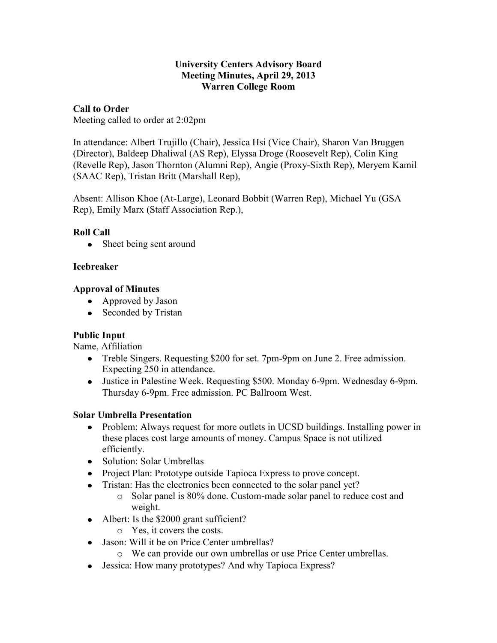#### **University Centers Advisory Board Meeting Minutes, April 29, 2013 Warren College Room**

### **Call to Order**

Meeting called to order at 2:02pm

In attendance: Albert Trujillo (Chair), Jessica Hsi (Vice Chair), Sharon Van Bruggen (Director), Baldeep Dhaliwal (AS Rep), Elyssa Droge (Roosevelt Rep), Colin King (Revelle Rep), Jason Thornton (Alumni Rep), Angie (Proxy-Sixth Rep), Meryem Kamil (SAAC Rep), Tristan Britt (Marshall Rep),

Absent: Allison Khoe (At-Large), Leonard Bobbit (Warren Rep), Michael Yu (GSA Rep), Emily Marx (Staff Association Rep.),

## **Roll Call**

• Sheet being sent around

### **Icebreaker**

### **Approval of Minutes**

- Approved by Jason
- Seconded by Tristan

#### **Public Input**

Name, Affiliation

- Treble Singers. Requesting \$200 for set. 7pm-9pm on June 2. Free admission. Expecting 250 in attendance.
- Justice in Palestine Week. Requesting \$500. Monday 6-9pm. Wednesday 6-9pm. Thursday 6-9pm. Free admission. PC Ballroom West.

## **Solar Umbrella Presentation**

- Problem: Always request for more outlets in UCSD buildings. Installing power in these places cost large amounts of money. Campus Space is not utilized efficiently.
- Solution: Solar Umbrellas
- Project Plan: Prototype outside Tapioca Express to prove concept.
- Tristan: Has the electronics been connected to the solar panel yet?
	- o Solar panel is 80% done. Custom-made solar panel to reduce cost and weight.
- Albert: Is the \$2000 grant sufficient?
	- o Yes, it covers the costs.
- Jason: Will it be on Price Center umbrellas?
	- o We can provide our own umbrellas or use Price Center umbrellas.
- Jessica: How many prototypes? And why Tapioca Express?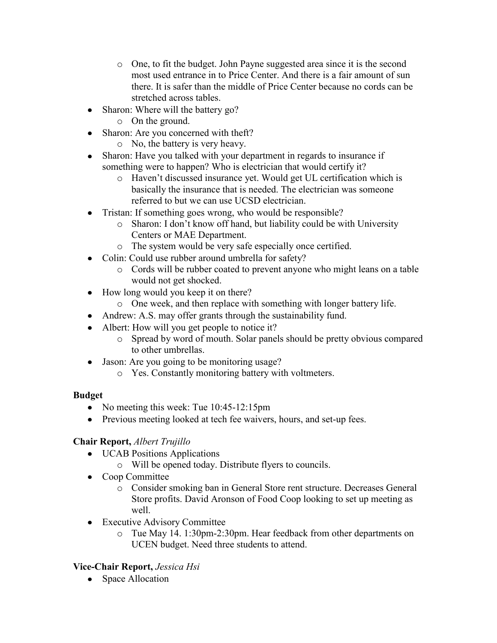- o One, to fit the budget. John Payne suggested area since it is the second most used entrance in to Price Center. And there is a fair amount of sun there. It is safer than the middle of Price Center because no cords can be stretched across tables.
- Sharon: Where will the battery go?  $\bullet$ 
	- o On the ground.
- Sharon: Are you concerned with theft?
	- o No, the battery is very heavy.
- Sharon: Have you talked with your department in regards to insurance if something were to happen? Who is electrician that would certify it?
	- o Haven't discussed insurance yet. Would get UL certification which is basically the insurance that is needed. The electrician was someone referred to but we can use UCSD electrician.
- Tristan: If something goes wrong, who would be responsible?
	- o Sharon: I don't know off hand, but liability could be with University Centers or MAE Department.
	- o The system would be very safe especially once certified.
- Colin: Could use rubber around umbrella for safety?
	- o Cords will be rubber coated to prevent anyone who might leans on a table would not get shocked.
- How long would you keep it on there?
	- o One week, and then replace with something with longer battery life.
- Andrew: A.S. may offer grants through the sustainability fund.
- Albert: How will you get people to notice it?
	- o Spread by word of mouth. Solar panels should be pretty obvious compared to other umbrellas.
- Jason: Are you going to be monitoring usage?
	- o Yes. Constantly monitoring battery with voltmeters.

# **Budget**

- No meeting this week: Tue 10:45-12:15pm
- Previous meeting looked at tech fee waivers, hours, and set-up fees.

# **Chair Report,** *Albert Trujillo*

- UCAB Positions Applications
	- o Will be opened today. Distribute flyers to councils.
- Coop Committee
	- o Consider smoking ban in General Store rent structure. Decreases General Store profits. David Aronson of Food Coop looking to set up meeting as well.
- Executive Advisory Committee
	- o Tue May 14. 1:30pm-2:30pm. Hear feedback from other departments on UCEN budget. Need three students to attend.

# **Vice-Chair Report,** *Jessica Hsi*

• Space Allocation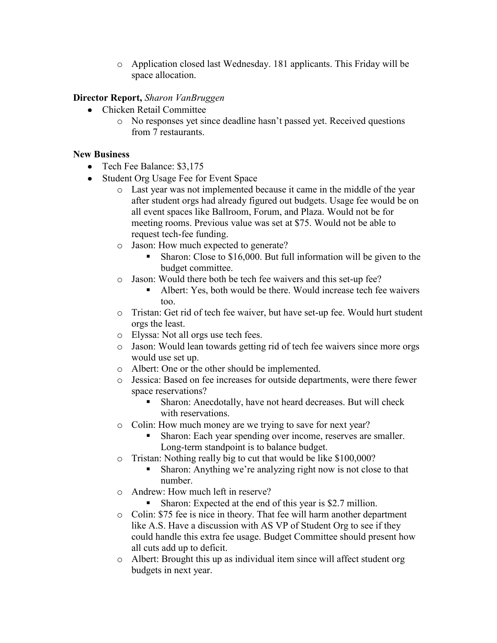o Application closed last Wednesday. 181 applicants. This Friday will be space allocation.

### **Director Report,** *Sharon VanBruggen*

- Chicken Retail Committee
	- o No responses yet since deadline hasn't passed yet. Received questions from 7 restaurants.

#### **New Business**

- Tech Fee Balance: \$3,175
- Student Org Usage Fee for Event Space
	- o Last year was not implemented because it came in the middle of the year after student orgs had already figured out budgets. Usage fee would be on all event spaces like Ballroom, Forum, and Plaza. Would not be for meeting rooms. Previous value was set at \$75. Would not be able to request tech-fee funding.
	- o Jason: How much expected to generate?
		- Sharon: Close to \$16,000. But full information will be given to the budget committee.
	- o Jason: Would there both be tech fee waivers and this set-up fee?
		- Albert: Yes, both would be there. Would increase tech fee waivers too.
	- o Tristan: Get rid of tech fee waiver, but have set-up fee. Would hurt student orgs the least.
	- o Elyssa: Not all orgs use tech fees.
	- o Jason: Would lean towards getting rid of tech fee waivers since more orgs would use set up.
	- o Albert: One or the other should be implemented.
	- o Jessica: Based on fee increases for outside departments, were there fewer space reservations?
		- Sharon: Anecdotally, have not heard decreases. But will check with reservations.
	- o Colin: How much money are we trying to save for next year?
		- Sharon: Each year spending over income, reserves are smaller. Long-term standpoint is to balance budget.
	- o Tristan: Nothing really big to cut that would be like \$100,000?
		- Sharon: Anything we're analyzing right now is not close to that number.
	- o Andrew: How much left in reserve?
		- **Sharon:** Expected at the end of this year is \$2.7 million.
	- o Colin: \$75 fee is nice in theory. That fee will harm another department like A.S. Have a discussion with AS VP of Student Org to see if they could handle this extra fee usage. Budget Committee should present how all cuts add up to deficit.
	- o Albert: Brought this up as individual item since will affect student org budgets in next year.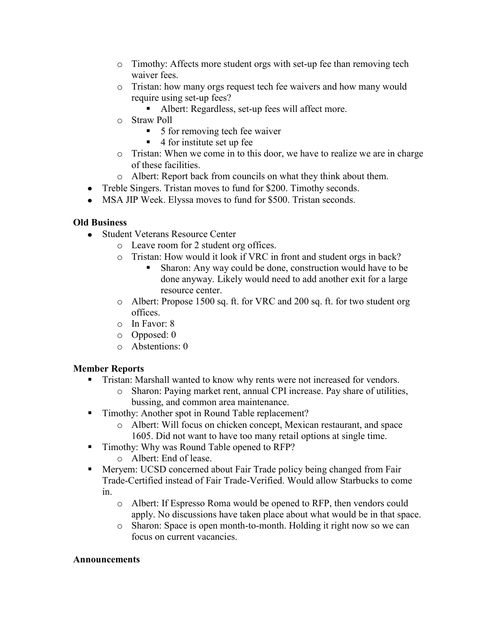- o Timothy: Affects more student orgs with set-up fee than removing tech waiver fees.
- o Tristan: how many orgs request tech fee waivers and how many would require using set-up fees?
	- Albert: Regardless, set-up fees will affect more.
- o Straw Poll
	- 5 for removing tech fee waiver
	- $\blacksquare$  4 for institute set up fee
- o Tristan: When we come in to this door, we have to realize we are in charge of these facilities.
- o Albert: Report back from councils on what they think about them.
- Treble Singers. Tristan moves to fund for \$200. Timothy seconds.
- MSA JIP Week. Elyssa moves to fund for \$500. Tristan seconds.

# **Old Business**

- Student Veterans Resource Center
	- o Leave room for 2 student org offices.
	- o Tristan: How would it look if VRC in front and student orgs in back?
		- Sharon: Any way could be done, construction would have to be done anyway. Likely would need to add another exit for a large resource center.
	- o Albert: Propose 1500 sq. ft. for VRC and 200 sq. ft. for two student org offices.
	- o In Favor: 8
	- o Opposed: 0
	- o Abstentions: 0

# **Member Reports**

- Tristan: Marshall wanted to know why rents were not increased for vendors.
	- o Sharon: Paying market rent, annual CPI increase. Pay share of utilities, bussing, and common area maintenance.
- Timothy: Another spot in Round Table replacement?
	- o Albert: Will focus on chicken concept, Mexican restaurant, and space 1605. Did not want to have too many retail options at single time.
- Timothy: Why was Round Table opened to RFP?
	- o Albert: End of lease.
- Meryem: UCSD concerned about Fair Trade policy being changed from Fair Trade-Certified instead of Fair Trade-Verified. Would allow Starbucks to come in.
	- o Albert: If Espresso Roma would be opened to RFP, then vendors could apply. No discussions have taken place about what would be in that space.
	- o Sharon: Space is open month-to-month. Holding it right now so we can focus on current vacancies.

## **Announcements**